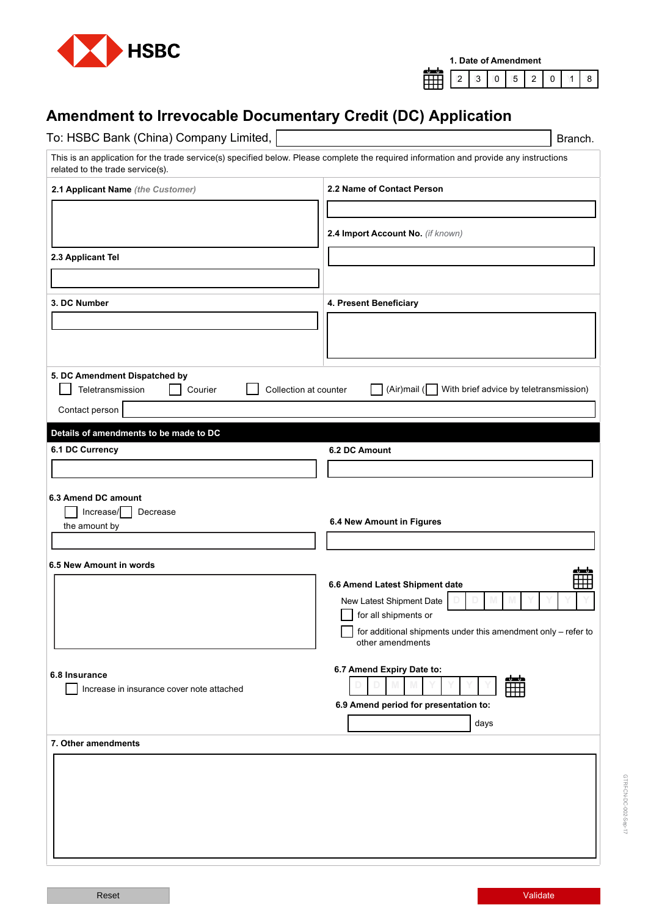



## **Amendment to Irrevocable Documentary Credit (DC) Application**

| To: HSBC Bank (China) Company Limited,                       | Branch.                                                                                                                                |
|--------------------------------------------------------------|----------------------------------------------------------------------------------------------------------------------------------------|
| related to the trade service(s).                             | This is an application for the trade service(s) specified below. Please complete the required information and provide any instructions |
| 2.1 Applicant Name (the Customer)                            | 2.2 Name of Contact Person                                                                                                             |
|                                                              |                                                                                                                                        |
|                                                              | 2.4 Import Account No. (if known)                                                                                                      |
|                                                              |                                                                                                                                        |
| 2.3 Applicant Tel                                            |                                                                                                                                        |
|                                                              |                                                                                                                                        |
| 3. DC Number                                                 | 4. Present Beneficiary                                                                                                                 |
|                                                              |                                                                                                                                        |
|                                                              |                                                                                                                                        |
|                                                              |                                                                                                                                        |
| 5. DC Amendment Dispatched by<br>Teletransmission<br>Courier | With brief advice by teletransmission)<br>(Air) mail ( $\sqrt{ }$<br>Collection at counter                                             |
| Contact person                                               |                                                                                                                                        |
|                                                              |                                                                                                                                        |
| Details of amendments to be made to DC<br>6.1 DC Currency    | 6.2 DC Amount                                                                                                                          |
|                                                              |                                                                                                                                        |
|                                                              |                                                                                                                                        |
| 6.3 Amend DC amount                                          |                                                                                                                                        |
| Increase/<br>Decrease<br>the amount by                       | 6.4 New Amount in Figures                                                                                                              |
|                                                              |                                                                                                                                        |
| 6.5 New Amount in words                                      |                                                                                                                                        |
|                                                              | واسطه<br>▦<br>6.6 Amend Latest Shipment date                                                                                           |
|                                                              | New Latest Shipment Date                                                                                                               |
|                                                              | for all shipments or                                                                                                                   |
|                                                              | for additional shipments under this amendment only - refer to<br>other amendments                                                      |
|                                                              |                                                                                                                                        |
| 6.8 Insurance                                                | 6.7 Amend Expiry Date to:<br><u>dub</u>                                                                                                |
| Increase in insurance cover note attached                    | ▦                                                                                                                                      |
|                                                              | 6.9 Amend period for presentation to:                                                                                                  |
|                                                              | days                                                                                                                                   |
| 7. Other amendments                                          |                                                                                                                                        |
|                                                              |                                                                                                                                        |
|                                                              |                                                                                                                                        |
|                                                              |                                                                                                                                        |
|                                                              |                                                                                                                                        |
|                                                              |                                                                                                                                        |
|                                                              |                                                                                                                                        |

GTRF-CN-DC-002-Sep-17

GTRFCN-DC-002-Sep-17